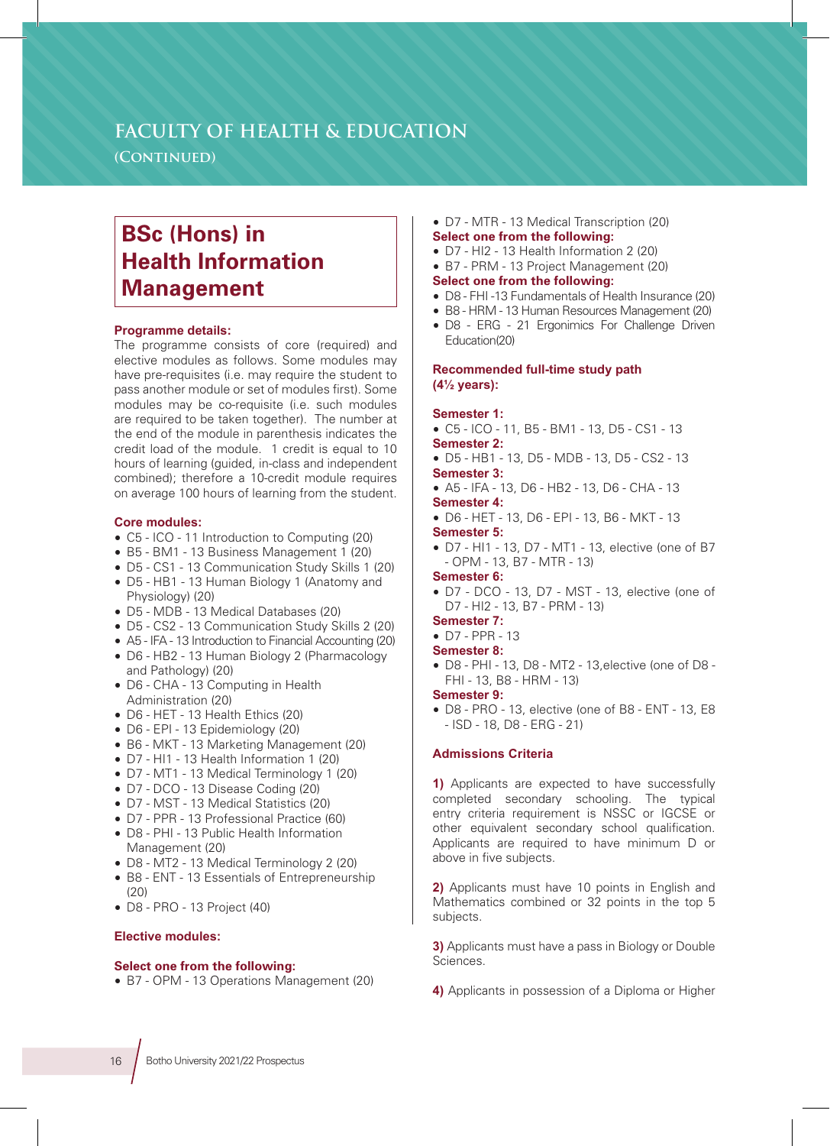## **FACULTY OF HEALTH & EDUCATION**

**(Continued)**

# **BSc (Hons) in Health Information Management**

#### **Programme details:**

The programme consists of core (required) and elective modules as follows. Some modules may have pre-requisites (i.e. may require the student to pass another module or set of modules first). Some modules may be co-requisite (i.e. such modules are required to be taken together). The number at the end of the module in parenthesis indicates the credit load of the module. 1 credit is equal to 10 hours of learning (guided, in-class and independent combined); therefore a 10-credit module requires on average 100 hours of learning from the student.

#### **Core modules:**

- C5 ICO 11 Introduction to Computing (20)
- B5 BM1 13 Business Management 1 (20)
- D5 CS1 13 Communication Study Skills 1 (20)
- D5 HB1 13 Human Biology 1 (Anatomy and Physiology) (20)
- D5 MDB 13 Medical Databases (20)
- D5 CS2 13 Communication Study Skills 2 (20)
- A5 IFA 13 Introduction to Financial Accounting (20)
- D6 HB2 13 Human Biology 2 (Pharmacology and Pathology) (20)
- D6 CHA 13 Computing in Health Administration (20)
- D6 HET 13 Health Ethics (20)
- D6 EPI 13 Epidemiology (20)
- B6 MKT 13 Marketing Management (20)
- D7 HI1 13 Health Information 1 (20)
- D7 MT1 13 Medical Terminology 1 (20)
- D7 DCO 13 Disease Coding (20)
- D7 MST 13 Medical Statistics (20)
- D7 PPR 13 Professional Practice (60)
- D8 PHI 13 Public Health Information Management (20)
- D8 MT2 13 Medical Terminology 2 (20)
- B8 ENT 13 Essentials of Entrepreneurship  $(20)$
- D8 PRO 13 Project (40)

#### **Elective modules:**

### **Select one from the following:**

• B7 - OPM - 13 Operations Management (20)

#### • D7 - MTR - 13 Medical Transcription (20) **Select one from the following:**

- D7 HI2 13 Health Information 2 (20)
- B7 PRM 13 Project Management (20)

### **Select one from the following:**

- D8 FHI -13 Fundamentals of Health Insurance (20)
- B8 HRM 13 Human Resources Management (20)
- D8 ERG 21 Ergonimics For Challenge Driven Education(20)

#### **Recommended full-time study path (4½ years):**

#### **Semester 1:**

- C5 ICO 11, B5 BM1 13, D5 CS1 13
- **Semester 2:**
- D5 HB1 13, D5 MDB 13, D5 CS2 13 **Semester 3:**
- A5 IFA 13, D6 HB2 13, D6 CHA 13 **Semester 4:**
- D6 HET 13, D6 EPI 13, B6 MKT 13 **Semester 5:** 
	-
- D7 HI1 13, D7 MT1 13, elective (one of B7 - OPM - 13, B7 - MTR - 13)

#### **Semester 6:**

- D7 DCO 13, D7 MST 13, elective (one of D7 - HI2 - 13, B7 - PRM - 13)
- **Semester 7:**
- D7 PPR 13

## **Semester 8:**

• D8 - PHI - 13, D8 - MT2 - 13,elective (one of D8 - FHI - 13, B8 - HRM - 13)

#### **Semester 9:**

• D8 - PRO - 13, elective (one of B8 - ENT - 13, E8 - ISD - 18, D8 - ERG - 21)

## **Admissions Criteria**

**1)** Applicants are expected to have successfully completed secondary schooling. The typical entry criteria requirement is NSSC or IGCSE or other equivalent secondary school qualification. Applicants are required to have minimum D or above in five subjects.

**2)** Applicants must have 10 points in English and Mathematics combined or 32 points in the top 5 subjects.

**3)** Applicants must have a pass in Biology or Double Sciences.

**4)** Applicants in possession of a Diploma or Higher